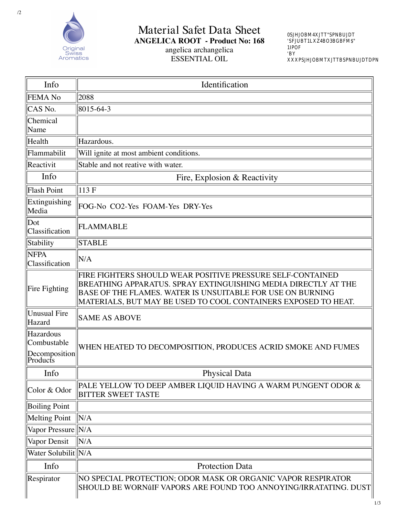Material Safet Data Sheet

## **ANGELICA ROOT** - Product No: 168 angelica archangelica

**ESSENTIAL OIL** 

Mpgegl<br>4.0 Dpcgr  $\rm Qug$  $\begin{tabular}{llll} pmk & rga & \\ Q & 1 & P & d & c \end{tabular}$ Niuw 25 Nfmlc8  $&2/3$  $/0.$ D v8  $&2/3$ 25  $.4/2$ uuu,mpgegl ug pmk rga ,amk

| Info                                                  | Identification                                                                                                                                                                                                                                               |
|-------------------------------------------------------|--------------------------------------------------------------------------------------------------------------------------------------------------------------------------------------------------------------------------------------------------------------|
| FEMA No                                               | 2088                                                                                                                                                                                                                                                         |
| CAS No.                                               | $ 8015 - 64 - 3 $                                                                                                                                                                                                                                            |
| Chemical<br>Name                                      |                                                                                                                                                                                                                                                              |
| Health                                                | Hazardous.                                                                                                                                                                                                                                                   |
| Flammabilit                                           | Will ignite at most ambient conditions.                                                                                                                                                                                                                      |
| Reactivit                                             | Stable and not reative with water.                                                                                                                                                                                                                           |
| Info                                                  | Fire, Explosion & Reactivity                                                                                                                                                                                                                                 |
| Flash Point                                           | 113 F                                                                                                                                                                                                                                                        |
| Extinguishing<br>Media                                | FOG-No CO2-Yes FOAM-Yes DRY-Yes                                                                                                                                                                                                                              |
| Dot<br>Classification                                 | FLAMMABLE                                                                                                                                                                                                                                                    |
| Stability                                             | <b>STABLE</b>                                                                                                                                                                                                                                                |
| <b>NFPA</b><br>Classification                         | N/A                                                                                                                                                                                                                                                          |
| Fire Fighting                                         | FIRE FIGHTERS SHOULD WEAR POSITIVE PRESSURE SELF-CONTAINED<br>BREATHING APPARATUS. SPRAY EXTINGUISHING MEDIA DIRECTLY AT THE<br>BASE OF THE FLAMES. WATER IS UNSUITABLE FOR USE ON BURNING<br>MATERIALS, BUT MAY BE USED TO COOL CONTAINERS EXPOSED TO HEAT. |
| Unusual Fire<br>Hazard                                | <b>SAME AS ABOVE</b>                                                                                                                                                                                                                                         |
| Hazardous<br>Combustable<br>Decomposition<br>Products | WHEN HEATED TO DECOMPOSITION, PRODUCES ACRID SMOKE AND FUMES                                                                                                                                                                                                 |
| Info                                                  | <b>Physical Data</b>                                                                                                                                                                                                                                         |
| Color & Odor                                          | PALE YELLOW TO DEEP AMBER LIQUID HAVING A WARM PUNGENT ODOR &<br><b>BITTER SWEET TASTE</b>                                                                                                                                                                   |
| <b>Boiling Point</b>                                  |                                                                                                                                                                                                                                                              |
| Melting Point                                         | N/A                                                                                                                                                                                                                                                          |
| Vapor Pressure N/A                                    |                                                                                                                                                                                                                                                              |
| Vapor Densit                                          | N/A                                                                                                                                                                                                                                                          |
| Water Solubilit   N/A                                 |                                                                                                                                                                                                                                                              |
| Info                                                  | <b>Protection Data</b>                                                                                                                                                                                                                                       |
| Respirator                                            | NO SPECIAL PROTECTION; ODOR MASK OR ORGANIC VAPOR RESPIRATOR<br>SHOULD BE WORNûIF VAPORS ARE FOUND TOO ANNOYING/IRRATATING. DUST                                                                                                                             |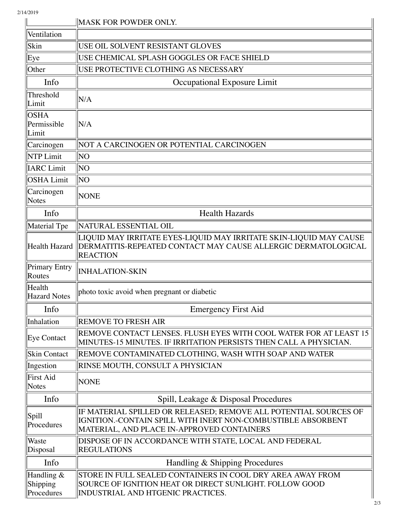|                                      | <b>MASK FOR POWDER ONLY.</b>                                                                                                                                                   |
|--------------------------------------|--------------------------------------------------------------------------------------------------------------------------------------------------------------------------------|
| Ventilation                          |                                                                                                                                                                                |
| Skin                                 | USE OIL SOLVENT RESISTANT GLOVES                                                                                                                                               |
| Eye                                  | USE CHEMICAL SPLASH GOGGLES OR FACE SHIELD                                                                                                                                     |
| Other                                | USE PROTECTIVE CLOTHING AS NECESSARY                                                                                                                                           |
| Info                                 | Occupational Exposure Limit                                                                                                                                                    |
| Threshold<br>Limit                   | N/A                                                                                                                                                                            |
| <b>OSHA</b><br>Permissible<br>Limit  | N/A                                                                                                                                                                            |
| Carcinogen                           | NOT A CARCINOGEN OR POTENTIAL CARCINOGEN                                                                                                                                       |
| <b>NTP Limit</b>                     | NO                                                                                                                                                                             |
| <b>IARC</b> Limit                    | ΝO                                                                                                                                                                             |
| <b>OSHA Limit</b>                    | ΝO                                                                                                                                                                             |
| Carcinogen<br>Notes                  | <b>NONE</b>                                                                                                                                                                    |
| Info                                 | <b>Health Hazards</b>                                                                                                                                                          |
| Material Tpe                         | NATURAL ESSENTIAL OIL                                                                                                                                                          |
| Health Hazard                        | LIQUID MAY IRRITATE EYES-LIQUID MAY IRRITATE SKIN-LIQUID MAY CAUSE<br>DERMATITIS-REPEATED CONTACT MAY CAUSE ALLERGIC DERMATOLOGICAL<br><b>REACTION</b>                         |
| Primary Entry<br>Routes              | <b>INHALATION-SKIN</b>                                                                                                                                                         |
| Health<br><b>Hazard Notes</b>        | photo toxic avoid when pregnant or diabetic                                                                                                                                    |
| Info                                 | <b>Emergency First Aid</b>                                                                                                                                                     |
| Inhalation                           | <b>REMOVE TO FRESH AIR</b>                                                                                                                                                     |
| Eye Contact                          | REMOVE CONTACT LENSES. FLUSH EYES WITH COOL WATER FOR AT LEAST 15<br>MINUTES-15 MINUTES. IF IRRITATION PERSISTS THEN CALL A PHYSICIAN.                                         |
| <b>Skin Contact</b>                  | REMOVE CONTAMINATED CLOTHING, WASH WITH SOAP AND WATER                                                                                                                         |
| Ingestion                            | RINSE MOUTH, CONSULT A PHYSICIAN                                                                                                                                               |
| <b>First Aid</b><br>Notes            | <b>NONE</b>                                                                                                                                                                    |
| Info                                 | Spill, Leakage & Disposal Procedures                                                                                                                                           |
| Spill<br>Procedures                  | IF MATERIAL SPILLED OR RELEASED; REMOVE ALL POTENTIAL SOURCES OF<br>IGNITION.-CONTAIN SPILL WITH INERT NON-COMBUSTIBLE ABSORBENT<br>MATERIAL, AND PLACE IN-APPROVED CONTAINERS |
| Waste<br>Disposal                    | DISPOSE OF IN ACCORDANCE WITH STATE, LOCAL AND FEDERAL<br><b>REGULATIONS</b>                                                                                                   |
| Info                                 | Handling & Shipping Procedures                                                                                                                                                 |
| Handling &<br>Shipping<br>Procedures | STORE IN FULL SEALED CONTAINERS IN COOL DRY AREA AWAY FROM<br>SOURCE OF IGNITION HEAT OR DIRECT SUNLIGHT. FOLLOW GOOD<br>INDUSTRIAL AND HTGENIC PRACTICES.                     |